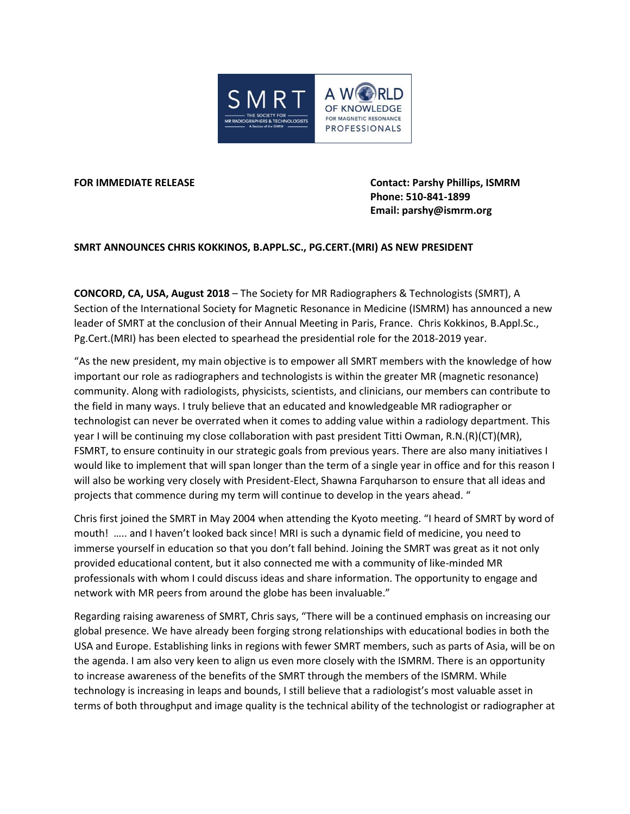

**FOR IMMEDIATE RELEASE Contact: Parshy Phillips, ISMRM Phone: 510-841-1899 Email: parshy@ismrm.org**

**SMRT ANNOUNCES CHRIS KOKKINOS, B.APPL.SC., PG.CERT.(MRI) AS NEW PRESIDENT**

**CONCORD, CA, USA, August 2018** – The Society for MR Radiographers & Technologists (SMRT), A Section of the International Society for Magnetic Resonance in Medicine (ISMRM) has announced a new leader of SMRT at the conclusion of their Annual Meeting in Paris, France. Chris Kokkinos, B.Appl.Sc., Pg.Cert.(MRI) has been elected to spearhead the presidential role for the 2018-2019 year.

"As the new president, my main objective is to empower all SMRT members with the knowledge of how important our role as radiographers and technologists is within the greater MR (magnetic resonance) community. Along with radiologists, physicists, scientists, and clinicians, our members can contribute to the field in many ways. I truly believe that an educated and knowledgeable MR radiographer or technologist can never be overrated when it comes to adding value within a radiology department. This year I will be continuing my close collaboration with past president Titti Owman, R.N.(R)(CT)(MR), FSMRT, to ensure continuity in our strategic goals from previous years. There are also many initiatives I would like to implement that will span longer than the term of a single year in office and for this reason I will also be working very closely with President-Elect, Shawna Farquharson to ensure that all ideas and projects that commence during my term will continue to develop in the years ahead. "

Chris first joined the SMRT in May 2004 when attending the Kyoto meeting. "I heard of SMRT by word of mouth! ….. and I haven't looked back since! MRI is such a dynamic field of medicine, you need to immerse yourself in education so that you don't fall behind. Joining the SMRT was great as it not only provided educational content, but it also connected me with a community of like-minded MR professionals with whom I could discuss ideas and share information. The opportunity to engage and network with MR peers from around the globe has been invaluable."

Regarding raising awareness of SMRT, Chris says, "There will be a continued emphasis on increasing our global presence. We have already been forging strong relationships with educational bodies in both the USA and Europe. Establishing links in regions with fewer SMRT members, such as parts of Asia, will be on the agenda. I am also very keen to align us even more closely with the ISMRM. There is an opportunity to increase awareness of the benefits of the SMRT through the members of the ISMRM. While technology is increasing in leaps and bounds, I still believe that a radiologist's most valuable asset in terms of both throughput and image quality is the technical ability of the technologist or radiographer at